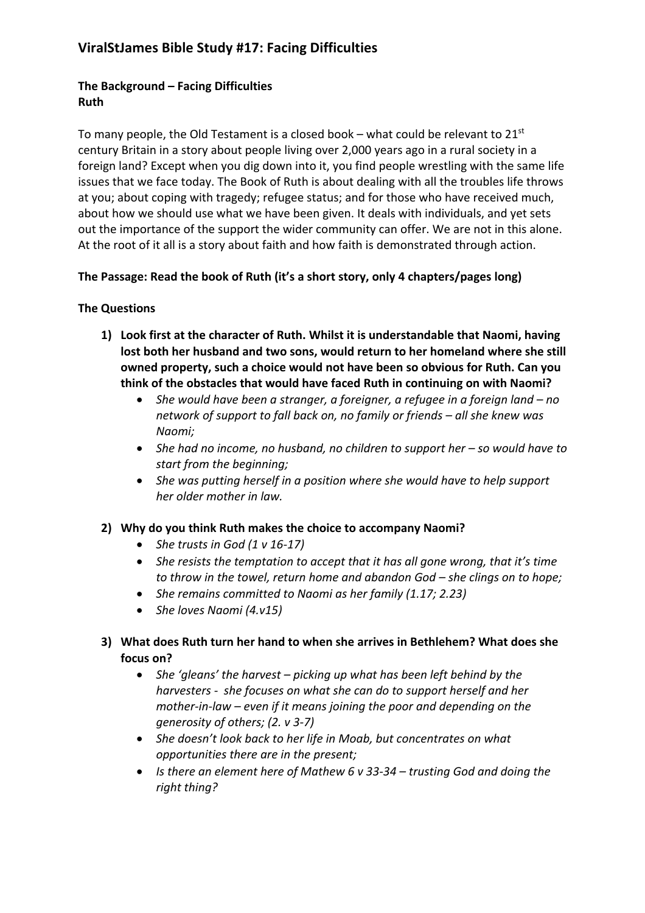### **The Background – Facing Difficulties Ruth**

To many people, the Old Testament is a closed book – what could be relevant to  $21^{st}$ century Britain in a story about people living over 2,000 years ago in a rural society in a foreign land? Except when you dig down into it, you find people wrestling with the same life issues that we face today. The Book of Ruth is about dealing with all the troubles life throws at you; about coping with tragedy; refugee status; and for those who have received much, about how we should use what we have been given. It deals with individuals, and yet sets out the importance of the support the wider community can offer. We are not in this alone. At the root of it all is a story about faith and how faith is demonstrated through action.

#### **The Passage: Read the book of Ruth (it's a short story, only 4 chapters/pages long)**

#### **The Questions**

- **1) Look first at the character of Ruth. Whilst it is understandable that Naomi, having lost both her husband and two sons, would return to her homeland where she still owned property, such a choice would not have been so obvious for Ruth. Can you think of the obstacles that would have faced Ruth in continuing on with Naomi?**
	- *She would have been a stranger, a foreigner, a refugee in a foreign land – no network of support to fall back on, no family or friends – all she knew was Naomi;*
	- *She had no income, no husband, no children to support her – so would have to start from the beginning;*
	- *She was putting herself in a position where she would have to help support her older mother in law.*

#### **2) Why do you think Ruth makes the choice to accompany Naomi?**

- *She trusts in God (1 v 16-17)*
- *She resists the temptation to accept that it has all gone wrong, that it's time to throw in the towel, return home and abandon God – she clings on to hope;*
- *She remains committed to Naomi as her family (1.17; 2.23)*
- *She loves Naomi (4.v15)*
- **3) What does Ruth turn her hand to when she arrives in Bethlehem? What does she focus on?**
	- *She 'gleans' the harvest – picking up what has been left behind by the harvesters - she focuses on what she can do to support herself and her mother-in-law – even if it means joining the poor and depending on the generosity of others; (2. v 3-7)*
	- *She doesn't look back to her life in Moab, but concentrates on what opportunities there are in the present;*
	- *Is there an element here of Mathew 6 v 33-34 – trusting God and doing the right thing?*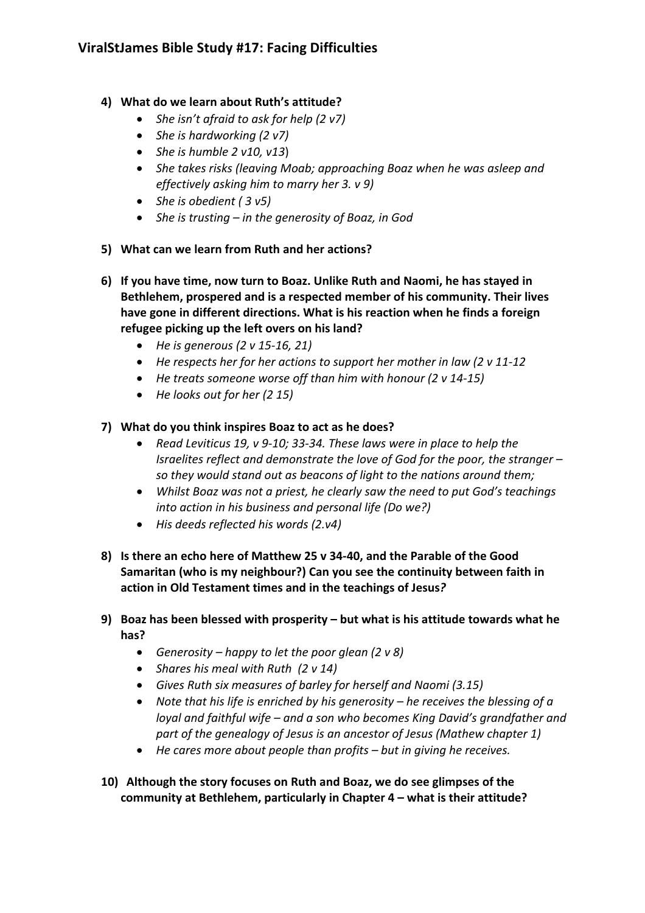# **ViralStJames Bible Study #17: Facing Difficulties**

### **4) What do we learn about Ruth's attitude?**

- *She isn't afraid to ask for help (2 v7)*
- *She is hardworking (2 v7)*
- *She is humble 2 v10, v13*)
- *She takes risks (leaving Moab; approaching Boaz when he was asleep and effectively asking him to marry her 3. v 9)*
- *She is obedient ( 3 v5)*
- *She is trusting – in the generosity of Boaz, in God*
- **5) What can we learn from Ruth and her actions?**
- **6) If you have time, now turn to Boaz. Unlike Ruth and Naomi, he has stayed in Bethlehem, prospered and is a respected member of his community. Their lives have gone in different directions. What is his reaction when he finds a foreign refugee picking up the left overs on his land?** 
	- *He is generous (2 v 15-16, 21)*
	- *He respects her for her actions to support her mother in law (2 v 11-12*
	- *He treats someone worse off than him with honour (2 v 14-15)*
	- *He looks out for her (2 15)*
- **7) What do you think inspires Boaz to act as he does?**
	- *Read Leviticus 19, v 9-10; 33-34. These laws were in place to help the Israelites reflect and demonstrate the love of God for the poor, the stranger – so they would stand out as beacons of light to the nations around them;*
	- *Whilst Boaz was not a priest, he clearly saw the need to put God's teachings into action in his business and personal life (Do we?)*
	- *His deeds reflected his words (2.v4)*
- **8) Is there an echo here of Matthew 25 v 34-40, and the Parable of the Good Samaritan (who is my neighbour?) Can you see the continuity between faith in action in Old Testament times and in the teachings of Jesus***?*
- **9) Boaz has been blessed with prosperity – but what is his attitude towards what he has?**
	- *Generosity – happy to let the poor glean (2 v 8)*
	- *Shares his meal with Ruth (2 v 14)*
	- *Gives Ruth six measures of barley for herself and Naomi (3.15)*
	- *Note that his life is enriched by his generosity – he receives the blessing of a loyal and faithful wife – and a son who becomes King David's grandfather and part of the genealogy of Jesus is an ancestor of Jesus (Mathew chapter 1)*
	- *He cares more about people than profits – but in giving he receives.*
- **10) Although the story focuses on Ruth and Boaz, we do see glimpses of the community at Bethlehem, particularly in Chapter 4 – what is their attitude?**